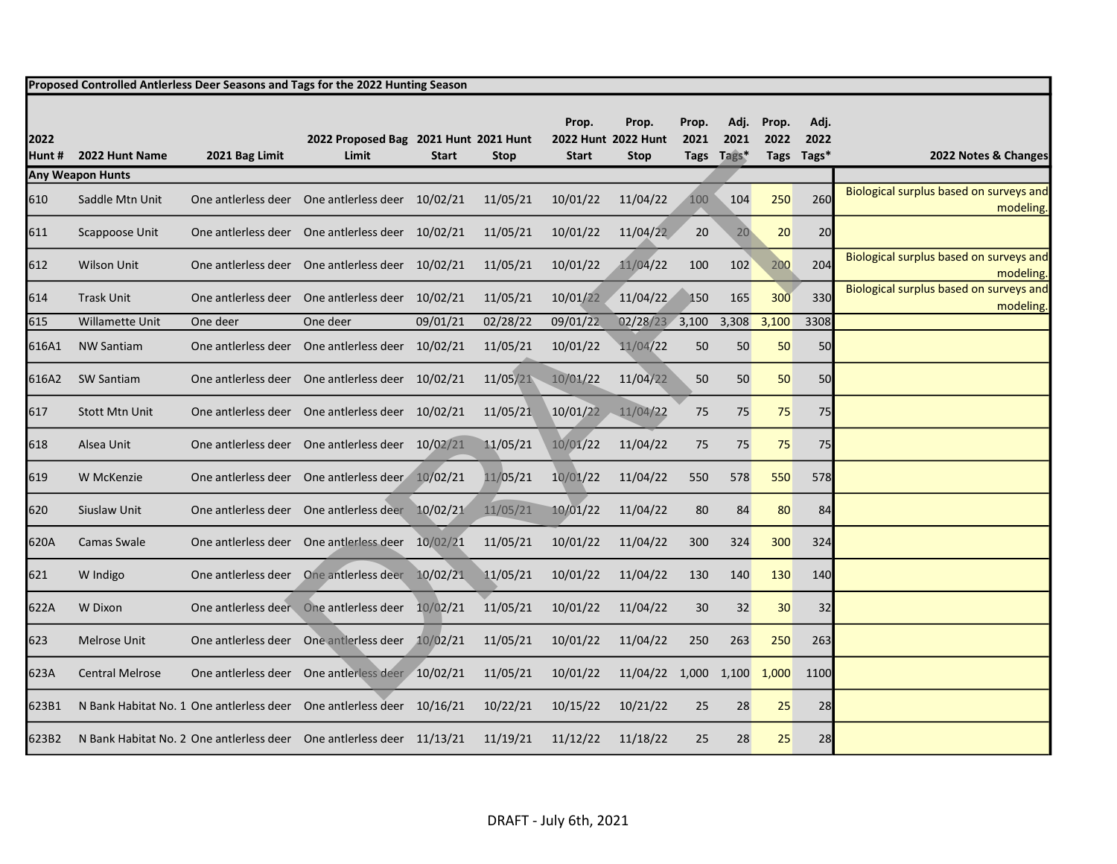|               |                         |                | Proposed Controlled Antlerless Deer Seasons and Tags for the 2022 Hunting Season |              |             |                       |                                             |               |                            |               |                            |                                                      |
|---------------|-------------------------|----------------|----------------------------------------------------------------------------------|--------------|-------------|-----------------------|---------------------------------------------|---------------|----------------------------|---------------|----------------------------|------------------------------------------------------|
| 2022<br>Hunt# | 2022 Hunt Name          | 2021 Bag Limit | 2022 Proposed Bag 2021 Hunt 2021 Hunt<br>Limit                                   | <b>Start</b> | <b>Stop</b> | Prop.<br><b>Start</b> | Prop.<br>2022 Hunt 2022 Hunt<br><b>Stop</b> | Prop.<br>2021 | Adj.<br>2021<br>Tags Tags* | Prop.<br>2022 | Adj.<br>2022<br>Tags Tags* | 2022 Notes & Changes                                 |
|               | <b>Any Weapon Hunts</b> |                |                                                                                  |              |             |                       |                                             |               |                            |               |                            |                                                      |
| 610           | Saddle Mtn Unit         |                | One antierless deer One antierless deer 10/02/21                                 |              | 11/05/21    | 10/01/22              | 11/04/22                                    | 100           | 104                        | 250           | 260                        | Biological surplus based on surveys and<br>modeling. |
| 611           | Scappoose Unit          |                | One antierless deer One antierless deer 10/02/21                                 |              | 11/05/21    | 10/01/22              | 11/04/22                                    | 20            | $20 -$                     | 20            | 20                         |                                                      |
| 612           | <b>Wilson Unit</b>      |                | One antierless deer One antierless deer 10/02/21                                 |              | 11/05/21    | 10/01/22              | 11/04/22                                    | 100           | 102                        | 200           | 204                        | Biological surplus based on surveys and<br>modeling. |
| 614           | <b>Trask Unit</b>       |                | One antierless deer One antierless deer 10/02/21                                 |              | 11/05/21    | 10/01/22              | 11/04/22                                    | 150           | 165                        | 300           | 330                        | Biological surplus based on surveys and<br>modeling. |
| 615           | Willamette Unit         | One deer       | One deer                                                                         | 09/01/21     | 02/28/22    | 09/01/22              | $02/28/23$ 3,100                            |               | 3,308                      | 3,100         | 3308                       |                                                      |
| 616A1         | <b>NW Santiam</b>       |                | One antierless deer One antierless deer 10/02/21                                 |              | 11/05/21    | 10/01/22              | 11/04/22                                    | 50            | 50                         | 50            | 50                         |                                                      |
| 616A2         | <b>SW Santiam</b>       |                | One antlerless deer One antlerless deer 10/02/21                                 |              | 11/05/21    | 10/01/22              | 11/04/22                                    | 50            | 50                         | 50            | 50                         |                                                      |
| 617           | <b>Stott Mtn Unit</b>   |                | One antierless deer One antierless deer 10/02/21                                 |              | 11/05/21    | 10/01/22              | 11/04/22                                    | 75            | 75                         | 75            | 75                         |                                                      |
| 618           | Alsea Unit              |                | One antierless deer One antierless deer 10/02/21                                 |              | 11/05/21    | 10/01/22              | 11/04/22                                    | 75            | 75                         | 75            | 75                         |                                                      |
| 619           | W McKenzie              |                | One antierless deer One antierless deer 10/02/21                                 |              | 11/05/21    | 10/01/22              | 11/04/22                                    | 550           | 578                        | 550           | 578                        |                                                      |
| 620           | Siuslaw Unit            |                | One antierless deer One antierless deer 10/02/21                                 |              | 11/05/21    | 10/01/22              | 11/04/22                                    | 80            | 84                         | 80            | 84                         |                                                      |
| 620A          | <b>Camas Swale</b>      |                | One antierless deer One antierless deer 10/02/21                                 |              | 11/05/21    | 10/01/22              | 11/04/22                                    | 300           | 324                        | 300           | 324                        |                                                      |
| 621           | W Indigo                |                | One antierless deer One antierless deer 10/02/21                                 |              | 11/05/21    | 10/01/22              | 11/04/22                                    | 130           | 140                        | 130           | 140                        |                                                      |
| 622A          | W Dixon                 |                | One antierless deer One antierless deer 10/02/21                                 |              | 11/05/21    | 10/01/22              | 11/04/22                                    | 30            | 32                         | 30            | 32                         |                                                      |
| 623           | Melrose Unit            |                | One antierless deer One antierless deer 10/02/21                                 |              | 11/05/21    | 10/01/22              | 11/04/22                                    | 250           | 263                        | 250           | 263                        |                                                      |
| 623A          | <b>Central Melrose</b>  |                | One antierless deer One antierless deer 10/02/21                                 |              | 11/05/21    | 10/01/22              | 11/04/22 1,000 1,100 1,000                  |               |                            |               | 1100                       |                                                      |
| 623B1         |                         |                | N Bank Habitat No. 1 One antierless deer One antierless deer 10/16/21            |              | 10/22/21    | 10/15/22              | 10/21/22                                    | 25            | 28                         | 25            | 28                         |                                                      |
| 623B2         |                         |                | N Bank Habitat No. 2 One antierless deer One antierless deer 11/13/21            |              | 11/19/21    | 11/12/22              | 11/18/22                                    | 25            | 28                         | 25            | 28                         |                                                      |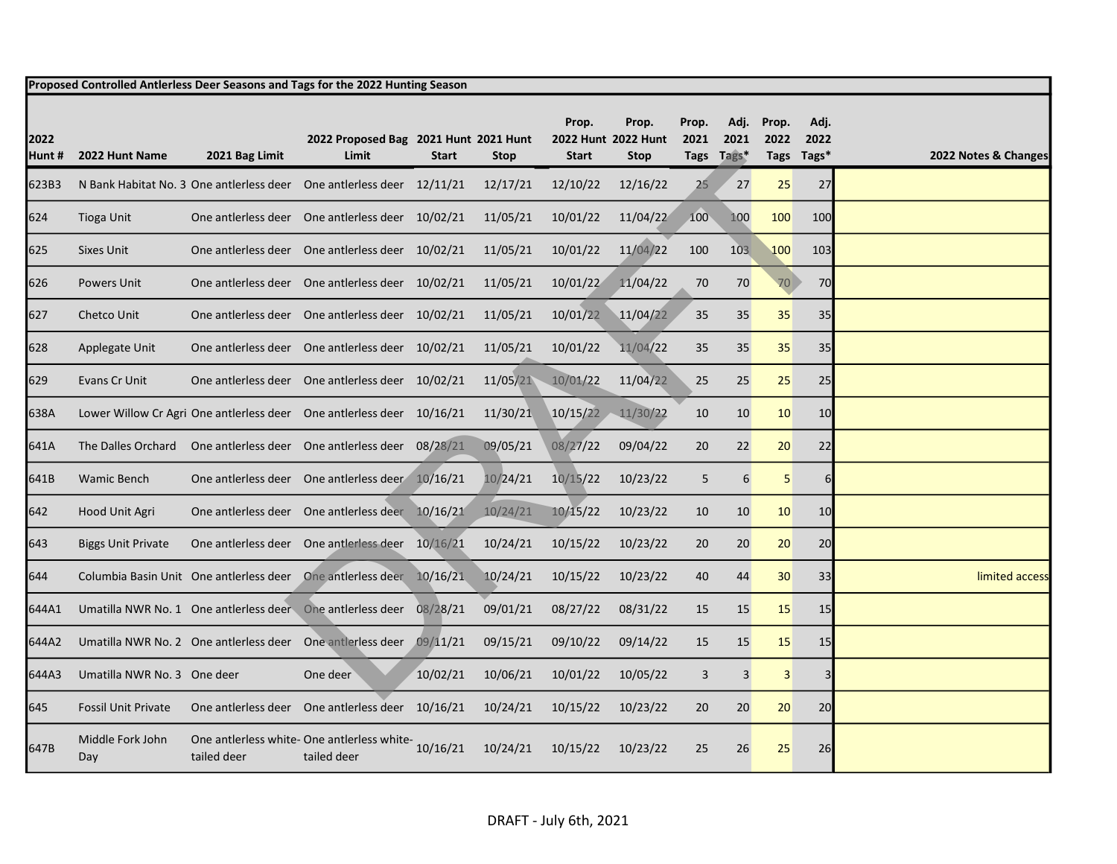|                | Proposed Controlled Antlerless Deer Seasons and Tags for the 2022 Hunting Season |                |                                                                       |              |             |                                              |                      |               |                            |               |                            |                      |
|----------------|----------------------------------------------------------------------------------|----------------|-----------------------------------------------------------------------|--------------|-------------|----------------------------------------------|----------------------|---------------|----------------------------|---------------|----------------------------|----------------------|
| 2022<br>Hunt # | 2022 Hunt Name                                                                   | 2021 Bag Limit | 2022 Proposed Bag 2021 Hunt 2021 Hunt<br>Limit                        | <b>Start</b> | <b>Stop</b> | Prop.<br>2022 Hunt 2022 Hunt<br><b>Start</b> | Prop.<br><b>Stop</b> | Prop.<br>2021 | Adj.<br>2021<br>Tags Tags* | Prop.<br>2022 | Adj.<br>2022<br>Tags Tags* | 2022 Notes & Changes |
| 623B3          |                                                                                  |                | N Bank Habitat No. 3 One antierless deer One antierless deer 12/11/21 |              | 12/17/21    | 12/10/22                                     | 12/16/22             | 25            | 27                         | 25            | 27                         |                      |
| 624            | <b>Tioga Unit</b>                                                                |                | One antierless deer One antierless deer 10/02/21                      |              | 11/05/21    | 10/01/22                                     | 11/04/22             | 100           | 100                        | 100           | 100                        |                      |
| 625            | <b>Sixes Unit</b>                                                                |                | One antierless deer One antierless deer 10/02/21                      |              | 11/05/21    | 10/01/22                                     | 11/04/22             | 100           | 10 <sub>3</sub>            | 100           | 103                        |                      |
| 626            | <b>Powers Unit</b>                                                               |                | One antierless deer One antierless deer 10/02/21                      |              | 11/05/21    | 10/01/22                                     | 11/04/22             | 70            | 70                         | 70            | 70                         |                      |
| 627            | Chetco Unit                                                                      |                | One antierless deer One antierless deer 10/02/21                      |              | 11/05/21    | 10/01/22                                     | 11/04/22             | 35            | 35                         | 35            | 35                         |                      |
| 628            | Applegate Unit                                                                   |                | One antierless deer One antierless deer 10/02/21                      |              | 11/05/21    | 10/01/22                                     | 11/04/22             | 35            | 35                         | 35            | 35                         |                      |
| 629            | Evans Cr Unit                                                                    |                | One antierless deer One antierless deer 10/02/21                      |              | 11/05/21    | 10/01/22                                     | 11/04/22             | 25            | 25                         | 25            | 25                         |                      |
| 638A           |                                                                                  |                | Lower Willow Cr Agri One antlerless deer One antlerless deer 10/16/21 |              | 11/30/21    | $10/15/22 - 11/30/22$                        |                      | 10            | 10 <sup>°</sup>            | 10            | 10                         |                      |
| 641A           |                                                                                  |                | The Dalles Orchard One antierless deer One antierless deer 08/28/21   |              | 09/05/21    | 08/27/22                                     | 09/04/22             | 20            | 22                         | 20            | 22                         |                      |
| 641B           | <b>Wamic Bench</b>                                                               |                | One antierless deer One antierless deer 10/16/21                      |              | 10/24/21    | 10/15/22                                     | 10/23/22             | 5             | $6 \overline{}$            | 5             | 6                          |                      |
| 642            | Hood Unit Agri                                                                   |                | One antierless deer One antierless deer 10/16/21                      |              | 10/24/21    | 10/15/22                                     | 10/23/22             | 10            | 10 <sup>°</sup>            | 10            | 10                         |                      |
| 643            | <b>Biggs Unit Private</b>                                                        |                | One antierless deer One antierless deer 10/16/21                      |              | 10/24/21    | 10/15/22                                     | 10/23/22             | 20            | 20                         | 20            | 20                         |                      |
| 644            |                                                                                  |                | Columbia Basin Unit One antlerless deer One antlerless deer 10/16/21  |              | 10/24/21    | 10/15/22                                     | 10/23/22             | 40            | 44                         | 30            | 33                         | limited access       |
| 644A1          |                                                                                  |                | Umatilla NWR No. 1 One antierless deer One antierless deer 08/28/21   |              | 09/01/21    | 08/27/22                                     | 08/31/22             | 15            | 15                         | 15            | 15                         |                      |
| 644A2          |                                                                                  |                | Umatilla NWR No. 2 One antierless deer One antierless deer 09/11/21   |              | 09/15/21    | 09/10/22                                     | 09/14/22             | 15            | 15                         | 15            | 15                         |                      |
| 644A3          | Umatilla NWR No. 3 One deer                                                      |                | One deer                                                              | 10/02/21     | 10/06/21    | 10/01/22                                     | 10/05/22             | 3             | 3                          | 3             | 3                          |                      |
| 645            | <b>Fossil Unit Private</b>                                                       |                | One antierless deer One antierless deer 10/16/21                      |              | 10/24/21    | 10/15/22                                     | 10/23/22             | 20            | 20                         | 20            | 20                         |                      |
| 647B           | Middle Fork John<br>Day                                                          | tailed deer    | One antlerless white- One antlerless white-<br>tailed deer            | 10/16/21     | 10/24/21    | 10/15/22                                     | 10/23/22             | 25            | 26                         | 25            | 26                         |                      |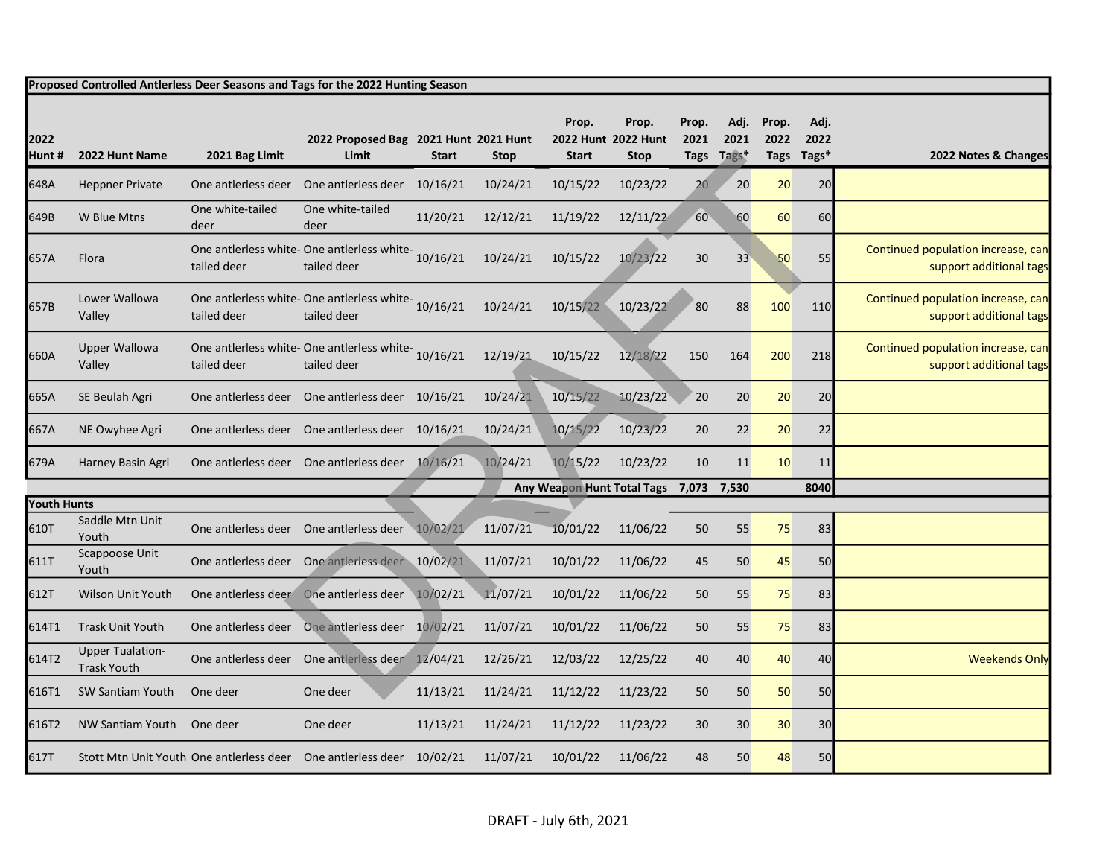|                            | Proposed Controlled Antlerless Deer Seasons and Tags for the 2022 Hunting Season |                                         |                                                                                |              |             |                                  |                                             |                       |                       |                       |                       |                                                               |
|----------------------------|----------------------------------------------------------------------------------|-----------------------------------------|--------------------------------------------------------------------------------|--------------|-------------|----------------------------------|---------------------------------------------|-----------------------|-----------------------|-----------------------|-----------------------|---------------------------------------------------------------|
| 2022<br>Hunt#              | 2022 Hunt Name                                                                   | 2021 Bag Limit                          | 2022 Proposed Bag 2021 Hunt 2021 Hunt<br>Limit                                 | <b>Start</b> | <b>Stop</b> | Prop.<br><b>Start</b>            | Prop.<br>2022 Hunt 2022 Hunt<br><b>Stop</b> | Prop.<br>2021<br>Tags | Adj.<br>2021<br>Tags* | Prop.<br>2022<br>Tags | Adj.<br>2022<br>Tags* | 2022 Notes & Changes                                          |
| 648A                       | <b>Heppner Private</b>                                                           |                                         | One antierless deer One antierless deer 10/16/21                               |              | 10/24/21    | 10/15/22                         | 10/23/22                                    | 20                    | 20                    | 20                    | 20                    |                                                               |
| 649B                       | W Blue Mtns                                                                      | One white-tailed<br>deer                | One white-tailed<br>deer                                                       | 11/20/21     | 12/12/21    | 11/19/22                         | 12/11/22                                    | 60                    | 60                    | 60                    | 60                    |                                                               |
| 657A                       | <b>Flora</b>                                                                     | tailed deer                             | One antlerless white- One antlerless white-<br>tailed deer                     | 10/16/21     | 10/24/21    | 10/15/22                         | 10/23/22                                    | 30                    | 33                    | 50                    | 55                    | Continued population increase, can<br>support additional tags |
| 657B                       | Lower Wallowa<br>Valley                                                          | tailed deer                             | One antlerless white- One antlerless white-<br>10/16/21<br>tailed deer         |              | 10/24/21    | 10/15/22                         | 10/23/22                                    | 80                    | 88                    | 100                   | 110                   | Continued population increase, can<br>support additional tags |
| 660A                       | <b>Upper Wallowa</b><br>Valley                                                   | tailed deer                             | One antlerless white- One antlerless white-<br>10/16/21<br>tailed deer         |              | 12/19/21    | 10/15/22                         | 12/18/22                                    | 150                   | 164                   | 200                   | 218                   | Continued population increase, can<br>support additional tags |
| 665A                       | SE Beulah Agri                                                                   |                                         | One antierless deer One antierless deer 10/16/21                               |              | 10/24/21    | 10/15/22                         | 10/23/22                                    | 20                    | 20                    | 20                    | 20                    |                                                               |
| 667A                       | NE Owyhee Agri                                                                   |                                         | One antierless deer One antierless deer 10/16/21                               |              | 10/24/21    | 10/15/22                         | 10/23/22                                    | 20                    | 22                    | 20                    | 22                    |                                                               |
| 679A                       | Harney Basin Agri                                                                |                                         | One antierless deer One antierless deer 10/16/21                               |              | 10/24/21    | 10/15/22                         | 10/23/22                                    | 10                    | 11                    | 10                    | 11                    |                                                               |
|                            |                                                                                  |                                         |                                                                                |              |             | Any Weapon Hunt Total Tags 7,073 |                                             |                       | 7,530                 |                       | 8040                  |                                                               |
| <b>Youth Hunts</b><br>610T | Saddle Mtn Unit<br>Youth                                                         | One antlerless deer One antlerless deer |                                                                                | 10/02/21     | 11/07/21    | 10/01/22                         | 11/06/22                                    | 50                    | 55                    | 75                    | 83                    |                                                               |
| 611T                       | Scappoose Unit<br>Youth                                                          |                                         | One antierless deer One antierless deer 10/02/21                               |              | 11/07/21    | 10/01/22                         | 11/06/22                                    | 45                    | 50                    | 45                    | 50                    |                                                               |
| 612T                       | <b>Wilson Unit Youth</b>                                                         |                                         | One antierless deer One antierless deer                                        | 10/02/21     | 11/07/21    | 10/01/22                         | 11/06/22                                    | 50                    | 55                    | 75                    | 83                    |                                                               |
| 614T1                      | <b>Trask Unit Youth</b>                                                          |                                         | One antierless deer One antierless deer 10/02/21                               |              | 11/07/21    | 10/01/22                         | 11/06/22                                    | 50                    | 55                    | 75                    | 83                    |                                                               |
| 614T2                      | <b>Upper Tualation-</b><br><b>Trask Youth</b>                                    |                                         | One antierless deer One antierless deer 12/04/21                               |              | 12/26/21    | 12/03/22                         | 12/25/22                                    | 40                    | 40                    | 40                    | 40                    | <b>Weekends Only</b>                                          |
| 616T1                      | <b>SW Santiam Youth</b>                                                          | One deer                                | One deer                                                                       | 11/13/21     | 11/24/21    | 11/12/22                         | 11/23/22                                    | 50                    | 50                    | 50                    | 50                    |                                                               |
| 616T2                      | NW Santiam Youth                                                                 | One deer                                | One deer                                                                       | 11/13/21     | 11/24/21    | 11/12/22                         | 11/23/22                                    | 30                    | 30                    | 30                    | 30                    |                                                               |
| 617T                       |                                                                                  |                                         | Stott Mtn Unit Youth One antierless deer One antierless deer 10/02/21 11/07/21 |              |             | 10/01/22                         | 11/06/22                                    | 48                    | 50                    | 48                    | 50                    |                                                               |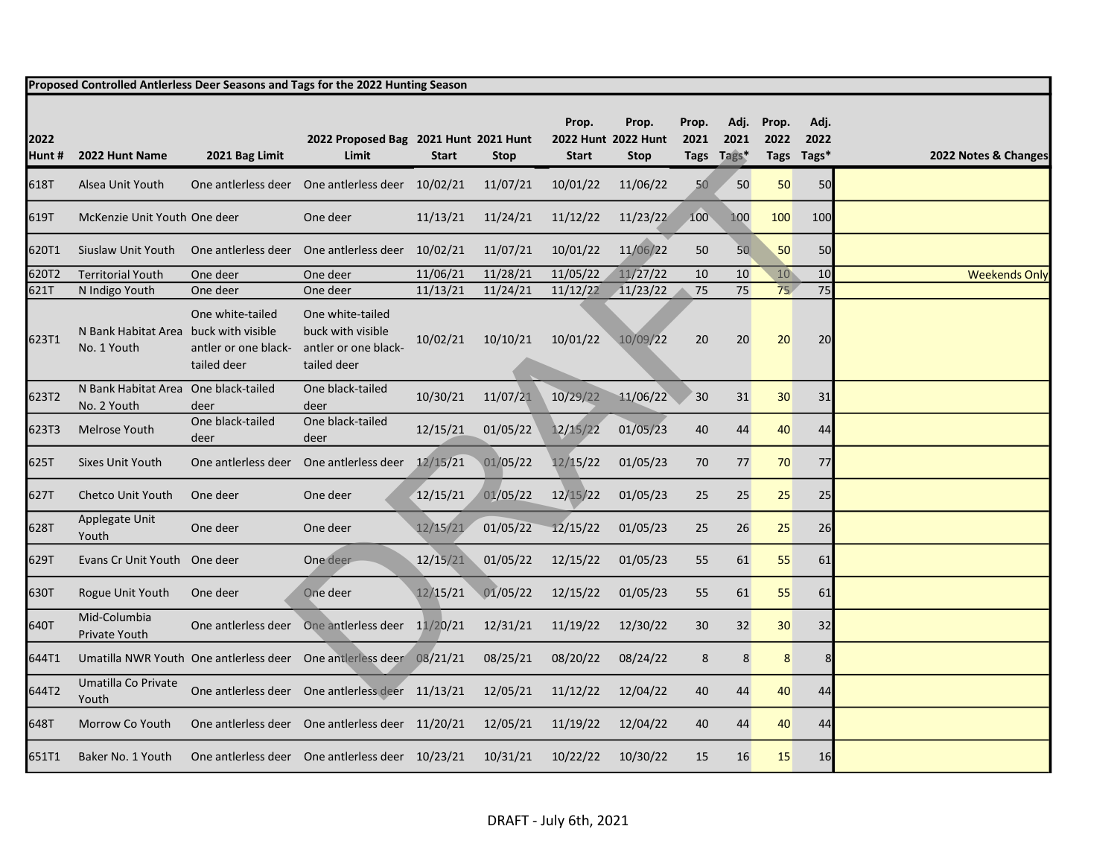|               | Proposed Controlled Antlerless Deer Seasons and Tags for the 2022 Hunting Season |                                                         |                                                                              |              |             |                       |                                             |               |                            |                       |                       |                      |
|---------------|----------------------------------------------------------------------------------|---------------------------------------------------------|------------------------------------------------------------------------------|--------------|-------------|-----------------------|---------------------------------------------|---------------|----------------------------|-----------------------|-----------------------|----------------------|
| 2022<br>Hunt# | 2022 Hunt Name                                                                   | 2021 Bag Limit                                          | 2022 Proposed Bag 2021 Hunt 2021 Hunt<br>Limit                               | <b>Start</b> | <b>Stop</b> | Prop.<br><b>Start</b> | Prop.<br>2022 Hunt 2022 Hunt<br><b>Stop</b> | Prop.<br>2021 | Adj.<br>2021<br>Tags Tags* | Prop.<br>2022<br>Tags | Adj.<br>2022<br>Tags* | 2022 Notes & Changes |
| 618T          | Alsea Unit Youth                                                                 |                                                         | One antierless deer One antierless deer 10/02/21                             |              | 11/07/21    | 10/01/22              | 11/06/22                                    | 50            | 50                         | 50                    | 50                    |                      |
| 619T          | McKenzie Unit Youth One deer                                                     |                                                         | One deer                                                                     | 11/13/21     | 11/24/21    | 11/12/22              | 11/23/22                                    | 100           | 100                        | 100                   | 100                   |                      |
| 620T1         | Siuslaw Unit Youth                                                               |                                                         | One antierless deer One antierless deer 10/02/21                             |              | 11/07/21    | 10/01/22              | 11/06/22                                    | 50            | 50                         | 50                    | 50                    |                      |
| 620T2         | <b>Territorial Youth</b>                                                         | One deer                                                | One deer                                                                     | 11/06/21     | 11/28/21    | 11/05/22              | 11/27/22                                    | 10            | 10                         | 10                    | 10                    | <b>Weekends Only</b> |
| 621T          | N Indigo Youth                                                                   | One deer                                                | One deer                                                                     | 11/13/21     | 11/24/21    | 11/12/22              | 11/23/22                                    | 75            | 75                         | 75                    | 75                    |                      |
| 623T1         | N Bank Habitat Area buck with visible<br>No. 1 Youth                             | One white-tailed<br>antler or one black-<br>tailed deer | One white-tailed<br>buck with visible<br>antler or one black-<br>tailed deer | 10/02/21     | 10/10/21    | 10/01/22              | 10/09/22                                    | 20            | 20                         | 20                    | 20                    |                      |
| 623T2         | N Bank Habitat Area One black-tailed<br>No. 2 Youth                              | deer                                                    | One black-tailed<br>deer                                                     | 10/30/21     | 11/07/21    | 10/29/22              | 11/06/22                                    | 30            | 31                         | 30                    | 31                    |                      |
| 623T3         | Melrose Youth                                                                    | One black-tailed<br>deer                                | One black-tailed<br>deer                                                     | 12/15/21     | 01/05/22    | 12/15/22              | 01/05/23                                    | 40            | 44                         | 40                    | 44                    |                      |
| 625T          | Sixes Unit Youth                                                                 | One antlerless deer                                     | One antlerless deer                                                          | 12/15/21     | 01/05/22    | 12/15/22              | 01/05/23                                    | 70            | 77                         | 70                    | 77                    |                      |
| 627T          | Chetco Unit Youth                                                                | One deer                                                | One deer                                                                     | 12/15/21     | 01/05/22    | 12/15/22              | 01/05/23                                    | 25            | 25                         | 25                    | 25                    |                      |
| 628T          | Applegate Unit<br>Youth                                                          | One deer                                                | One deer                                                                     | 12/15/21     | 01/05/22    | 12/15/22              | 01/05/23                                    | 25            | 26                         | 25                    | 26                    |                      |
| 629T          | Evans Cr Unit Youth One deer                                                     |                                                         | One deer                                                                     | 12/15/21     | 01/05/22    | 12/15/22              | 01/05/23                                    | 55            | 61                         | 55                    | 61                    |                      |
| 630T          | Rogue Unit Youth                                                                 | One deer                                                | One deer                                                                     | 12/15/21     | 01/05/22    | 12/15/22              | 01/05/23                                    | 55            | 61                         | 55                    | 61                    |                      |
| 640T          | Mid-Columbia<br>Private Youth                                                    |                                                         | One antierless deer One antierless deer 11/20/21                             |              | 12/31/21    | 11/19/22              | 12/30/22                                    | 30            | 32                         | 30                    | 32                    |                      |
| 644T1         |                                                                                  |                                                         | Umatilla NWR Youth One antlerless deer One antlerless deer 08/21/21          |              | 08/25/21    | 08/20/22              | 08/24/22                                    | 8             | 8                          | 8                     | 8                     |                      |
| 644T2         | Umatilla Co Private<br>Youth                                                     |                                                         | One antierless deer One antierless deer 11/13/21                             |              | 12/05/21    | 11/12/22              | 12/04/22                                    | 40            | 44                         | 40                    | 44                    |                      |
| 648T          | Morrow Co Youth                                                                  |                                                         | One antierless deer One antierless deer 11/20/21                             |              | 12/05/21    | 11/19/22              | 12/04/22                                    | 40            | 44                         | 40                    | 44                    |                      |
| 651T1         | Baker No. 1 Youth                                                                |                                                         | One antierless deer One antierless deer 10/23/21                             |              | 10/31/21    | 10/22/22              | 10/30/22                                    | 15            | 16                         | 15                    | 16                    |                      |